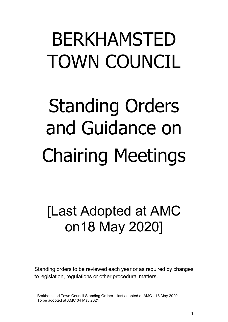# BERKHAMSTED TOWN COUNCIL

# Standing Orders and Guidance on Chairing Meetings

# [Last Adopted at AMC on18 May 2020]

Standing orders to be reviewed each year or as required by changes to legislation, regulations or other procedural matters.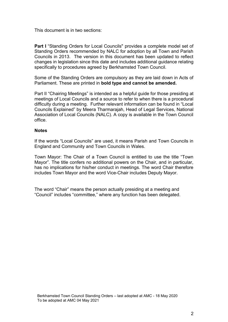This document is in two sections:

**Part I** "Standing Orders for Local Councils" provides a complete model set of Standing Orders recommended by NALC for adoption by all Town and Parish Councils in 2013. The version in this document has been updated to reflect changes in legislation since this date and includes additional guidance relating specifically to procedures agreed by Berkhamsted Town Council.

Some of the Standing Orders are compulsory as they are laid down in Acts of Parliament. These are printed in **bold type and cannot be amended.**

Part II "Chairing Meetings" is intended as a helpful guide for those presiding at meetings of Local Councils and a source to refer to when there is a procedural difficulty during a meeting. Further relevant information can be found in "Local Councils Explained" by Meera Tharmarajah, Head of Legal Services, National Association of Local Councils (NALC). A copy is available in the Town Council office.

#### **Notes**

If the words "Local Councils" are used, it means Parish and Town Councils in England and Community and Town Councils in Wales.

Town Mayor: The Chair of a Town Council is entitled to use the title "Town Mayor". The title confers no additional powers on the Chair, and in particular, has no implications for his/her conduct in meetings. The word Chair therefore includes Town Mayor and the word Vice-Chair includes Deputy Mayor.

The word "Chair" means the person actually presiding at a meeting and "Council" includes "committee," where any function has been delegated.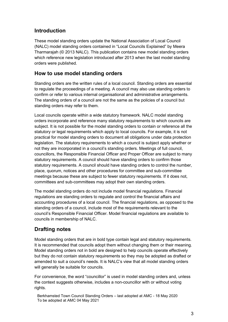# <span id="page-2-0"></span>**Introduction**

These model standing orders update the National Association of Local Council (NALC) model standing orders contained in "Local Councils Explained" by Meera Tharmarajah (© 2013 NALC). This publication contains new model standing orders which reference new legislation introduced after 2013 when the last model standing orders were published.

### **How to use model standing orders**

Standing orders are the written rules of a local council. Standing orders are essential to regulate the proceedings of a meeting. A council may also use standing orders to confirm or refer to various internal organisational and administrative arrangements. The standing orders of a council are not the same as the policies of a council but standing orders may refer to them.

Local councils operate within a wide statutory framework. NALC model standing orders incorporate and reference many statutory requirements to which councils are subject. It is not possible for the model standing orders to contain or reference all the statutory or legal requirements which apply to local councils. For example, it is not practical for model standing orders to document all obligations under data protection legislation. The statutory requirements to which a council is subject apply whether or not they are incorporated in a council's standing orders. Meetings of full council, councillors, the Responsible Financial Officer and Proper Officer are subject to many statutory requirements. A council should have standing orders to confirm those statutory requirements. A council should have standing orders to control the number, place, quorum, notices and other procedures for committee and sub-committee meetings because these are subject to fewer statutory requirements. If it does not, committees and sub-committees may adopt their own standing orders.

The model standing orders do not include model financial regulations. Financial regulations are standing orders to regulate and control the financial affairs and accounting procedures of a local council. The financial regulations, as opposed to the standing orders of a council, include most of the requirements relevant to the council's Responsible Financial Officer. Model financial regulations are available to councils in membership of NALC.

# **Drafting notes**

Model standing orders that are in bold type contain legal and statutory requirements. It is recommended that councils adopt them without changing them or their meaning. Model standing orders not in bold are designed to help councils operate effectively but they do not contain statutory requirements so they may be adopted as drafted or amended to suit a council's needs. It is NALC's view that all model standing orders will generally be suitable for councils.

For convenience, the word "councillor" is used in model standing orders and, unless the context suggests otherwise, includes a non-councillor with or without voting rights.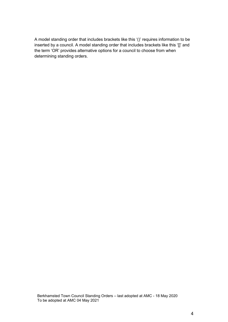A model standing order that includes brackets like this '()' requires information to be inserted by a council. A model standing order that includes brackets like this '[]' and the term 'OR' provides alternative options for a council to choose from when determining standing orders.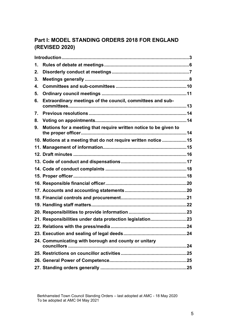# **Part I: MODEL STANDING ORDERS 2018 FOR ENGLAND (REVISED 2020)**

| 1. |                                                                  |  |
|----|------------------------------------------------------------------|--|
| 2. |                                                                  |  |
| 3. |                                                                  |  |
| 4. |                                                                  |  |
| 5. |                                                                  |  |
| 6. | Extraordinary meetings of the council, committees and sub-       |  |
| 7. |                                                                  |  |
| 8. |                                                                  |  |
| 9. | Motions for a meeting that require written notice to be given to |  |
|    | 10. Motions at a meeting that do not require written notice 15   |  |
|    |                                                                  |  |
|    |                                                                  |  |
|    |                                                                  |  |
|    |                                                                  |  |
|    |                                                                  |  |
|    |                                                                  |  |
|    |                                                                  |  |
|    |                                                                  |  |
|    |                                                                  |  |
|    |                                                                  |  |
|    | 21. Responsibilities under data protection legislation23         |  |
|    |                                                                  |  |
|    |                                                                  |  |
|    | 24. Communicating with borough and county or unitary             |  |
|    |                                                                  |  |
|    |                                                                  |  |
|    |                                                                  |  |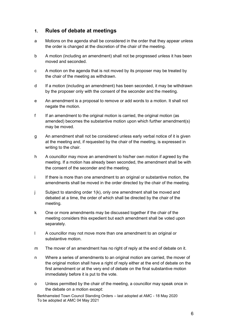#### <span id="page-5-0"></span>**1. Rules of debate at meetings**

- a Motions on the agenda shall be considered in the order that they appear unless the order is changed at the discretion of the chair of the meeting.
- b A motion (including an amendment) shall not be progressed unless it has been moved and seconded.
- c A motion on the agenda that is not moved by its proposer may be treated by the chair of the meeting as withdrawn.
- d If a motion (including an amendment) has been seconded, it may be withdrawn by the proposer only with the consent of the seconder and the meeting.
- e An amendment is a proposal to remove or add words to a motion. It shall not negate the motion.
- f If an amendment to the original motion is carried, the original motion (as amended) becomes the substantive motion upon which further amendment(s) may be moved.
- g An amendment shall not be considered unless early verbal notice of it is given at the meeting and, if requested by the chair of the meeting, is expressed in writing to the chair.
- h A councillor may move an amendment to his/her own motion if agreed by the meeting. If a motion has already been seconded, the amendment shall be with the consent of the seconder and the meeting.
- i If there is more than one amendment to an original or substantive motion, the amendments shall be moved in the order directed by the chair of the meeting.
- j Subject to standing order 1(k), only one amendment shall be moved and debated at a time, the order of which shall be directed by the chair of the meeting.
- k One or more amendments may be discussed together if the chair of the meeting considers this expedient but each amendment shall be voted upon separately.
- l A councillor may not move more than one amendment to an original or substantive motion.
- m The mover of an amendment has no right of reply at the end of debate on it.
- n Where a series of amendments to an original motion are carried, the mover of the original motion shall have a right of reply either at the end of debate on the first amendment or at the very end of debate on the final substantive motion immediately before it is put to the vote.
- o Unless permitted by the chair of the meeting, a councillor may speak once in the debate on a motion except: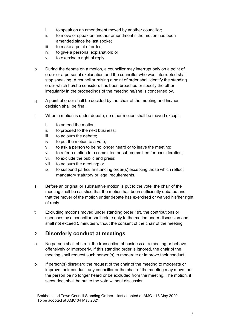- i. to speak on an amendment moved by another councillor;
- ii. to move or speak on another amendment if the motion has been amended since he last spoke;
- iii. to make a point of order;
- iv. to give a personal explanation; or
- v. to exercise a right of reply.
- p During the debate on a motion, a councillor may interrupt only on a point of order or a personal explanation and the councillor who was interrupted shall stop speaking. A councillor raising a point of order shall identify the standing order which he/she considers has been breached or specify the other irregularity in the proceedings of the meeting he/she is concerned by.
- q A point of order shall be decided by the chair of the meeting and his/her decision shall be final.
- r When a motion is under debate, no other motion shall be moved except:
	- i. to amend the motion;
	- ii. to proceed to the next business;
	- iii. to adjourn the debate;
	- iv. to put the motion to a vote;
	- v. to ask a person to be no longer heard or to leave the meeting;
	- vi. to refer a motion to a committee or sub-committee for consideration;
	- vii. to exclude the public and press;
	- viii. to adjourn the meeting; or
	- ix. to suspend particular standing order(s) excepting those which reflect mandatory statutory or legal requirements.
- s Before an original or substantive motion is put to the vote, the chair of the meeting shall be satisfied that the motion has been sufficiently debated and that the mover of the motion under debate has exercised or waived his/her right of reply.
- t Excluding motions moved under standing order 1(r), the contributions or speeches by a councillor shall relate only to the motion under discussion and shall not exceed 5 minutes without the consent of the chair of the meeting.

#### <span id="page-6-0"></span>**2. Disorderly conduct at meetings**

- a No person shall obstruct the transaction of business at a meeting or behave offensively or improperly. If this standing order is ignored, the chair of the meeting shall request such person(s) to moderate or improve their conduct.
- b If person(s) disregard the request of the chair of the meeting to moderate or improve their conduct, any councillor or the chair of the meeting may move that the person be no longer heard or be excluded from the meeting. The motion, if seconded, shall be put to the vote without discussion.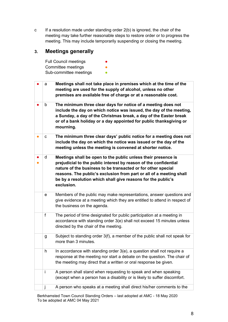c If a resolution made under standing order 2(b) is ignored, the chair of the meeting may take further reasonable steps to restore order or to progress the meeting. This may include temporarily suspending or closing the meeting.

# <span id="page-7-0"></span>**3. Meetings generally**

| <b>Full Council meetings</b> | $\bullet$ |
|------------------------------|-----------|
| Committee meetings           |           |
| Sub-committee meetings       |           |

|           | a | Meetings shall not take place in premises which at the time of the<br>meeting are used for the supply of alcohol, unless no other<br>premises are available free of charge or at a reasonable cost.                                                                                                                                                    |
|-----------|---|--------------------------------------------------------------------------------------------------------------------------------------------------------------------------------------------------------------------------------------------------------------------------------------------------------------------------------------------------------|
|           | b | The minimum three clear days for notice of a meeting does not<br>include the day on which notice was issued, the day of the meeting,<br>a Sunday, a day of the Christmas break, a day of the Easter break<br>or of a bank holiday or a day appointed for public thanksgiving or<br>mourning.                                                           |
| $\bullet$ | с | The minimum three clear days' public notice for a meeting does not<br>include the day on which the notice was issued or the day of the<br>meeting unless the meeting is convened at shorter notice.                                                                                                                                                    |
|           | d | Meetings shall be open to the public unless their presence is<br>prejudicial to the public interest by reason of the confidential<br>nature of the business to be transacted or for other special<br>reasons. The public's exclusion from part or all of a meeting shall<br>be by a resolution which shall give reasons for the public's<br>exclusion. |
|           | е | Members of the public may make representations, answer questions and<br>give evidence at a meeting which they are entitled to attend in respect of<br>the business on the agenda.                                                                                                                                                                      |
|           | f | The period of time designated for public participation at a meeting in<br>accordance with standing order 3(e) shall not exceed 15 minutes unless<br>directed by the chair of the meeting.                                                                                                                                                              |
|           | g | Subject to standing order 3(f), a member of the public shall not speak for<br>more than 3 minutes.                                                                                                                                                                                                                                                     |
|           | h | In accordance with standing order 3(e), a question shall not require a<br>response at the meeting nor start a debate on the question. The chair of<br>the meeting may direct that a written or oral response be given.                                                                                                                                 |
|           | Ť | A person shall stand when requesting to speak and when speaking<br>(except when a person has a disability or is likely to suffer discomfort.                                                                                                                                                                                                           |
|           | J | A person who speaks at a meeting shall direct his/her comments to the                                                                                                                                                                                                                                                                                  |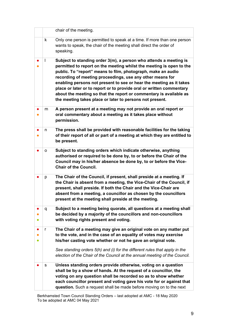|           |              | chair of the meeting.                                                                                                                                                                                                                                                                                                                                                                                                                                                                                                                                   |
|-----------|--------------|---------------------------------------------------------------------------------------------------------------------------------------------------------------------------------------------------------------------------------------------------------------------------------------------------------------------------------------------------------------------------------------------------------------------------------------------------------------------------------------------------------------------------------------------------------|
|           | k            | Only one person is permitted to speak at a time. If more than one person<br>wants to speak, the chair of the meeting shall direct the order of<br>speaking.                                                                                                                                                                                                                                                                                                                                                                                             |
|           | J.           | Subject to standing order 3(m), a person who attends a meeting is<br>permitted to report on the meeting whilst the meeting is open to the<br>public. To "report" means to film, photograph, make an audio<br>recording of meeting proceedings, use any other means for<br>enabling persons not present to see or hear the meeting as it takes<br>place or later or to report or to provide oral or written commentary<br>about the meeting so that the report or commentary is available as<br>the meeting takes place or later to persons not present. |
|           | m            | A person present at a meeting may not provide an oral report or<br>oral commentary about a meeting as it takes place without<br>permission.                                                                                                                                                                                                                                                                                                                                                                                                             |
| $\bullet$ | n            | The press shall be provided with reasonable facilities for the taking<br>of their report of all or part of a meeting at which they are entitled to<br>be present.                                                                                                                                                                                                                                                                                                                                                                                       |
|           | о            | Subject to standing orders which indicate otherwise, anything<br>authorised or required to be done by, to or before the Chair of the<br>Council may in his/her absence be done by, to or before the Vice-<br><b>Chair of the Council.</b>                                                                                                                                                                                                                                                                                                               |
|           | p            | The Chair of the Council, if present, shall preside at a meeting. If<br>the Chair is absent from a meeting, the Vice-Chair of the Council, if<br>present, shall preside. If both the Chair and the Vice-Chair are<br>absent from a meeting, a councillor as chosen by the councillors<br>present at the meeting shall preside at the meeting.                                                                                                                                                                                                           |
|           | q            | Subject to a meeting being quorate, all questions at a meeting shall<br>be decided by a majority of the councillors and non-councillors<br>with voting rights present and voting.                                                                                                                                                                                                                                                                                                                                                                       |
|           | $\mathsf{r}$ | The Chair of a meeting may give an original vote on any matter put<br>to the vote, and in the case of an equality of votes may exercise<br>his/her casting vote whether or not he gave an original vote.                                                                                                                                                                                                                                                                                                                                                |
|           |              | See standing orders 5(h) and (i) for the different rules that apply in the<br>election of the Chair of the Council at the annual meeting of the Council.                                                                                                                                                                                                                                                                                                                                                                                                |
|           | s            | Unless standing orders provide otherwise, voting on a question<br>shall be by a show of hands. At the request of a councillor, the<br>voting on any question shall be recorded so as to show whether<br>each councillor present and voting gave his vote for or against that<br>question. Such a request shall be made before moving on to the next                                                                                                                                                                                                     |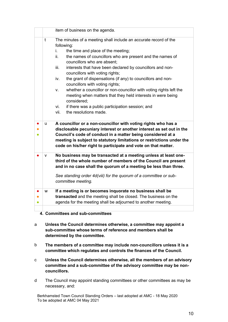|                                                                    |                                                             | item of business on the agenda.                                                                                                                                                                                                                                                                                                                |  |  |  |  |
|--------------------------------------------------------------------|-------------------------------------------------------------|------------------------------------------------------------------------------------------------------------------------------------------------------------------------------------------------------------------------------------------------------------------------------------------------------------------------------------------------|--|--|--|--|
|                                                                    | t                                                           | The minutes of a meeting shall include an accurate record of the                                                                                                                                                                                                                                                                               |  |  |  |  |
|                                                                    |                                                             | following:                                                                                                                                                                                                                                                                                                                                     |  |  |  |  |
| the time and place of the meeting;<br>İ.                           |                                                             |                                                                                                                                                                                                                                                                                                                                                |  |  |  |  |
| ii.<br>the names of councillors who are present and the names of   |                                                             |                                                                                                                                                                                                                                                                                                                                                |  |  |  |  |
|                                                                    |                                                             | councillors who are absent;                                                                                                                                                                                                                                                                                                                    |  |  |  |  |
|                                                                    |                                                             | iii.<br>interests that have been declared by councillors and non-                                                                                                                                                                                                                                                                              |  |  |  |  |
|                                                                    |                                                             | councillors with voting rights;                                                                                                                                                                                                                                                                                                                |  |  |  |  |
| the grant of dispensations (if any) to councillors and non-<br>iv. |                                                             |                                                                                                                                                                                                                                                                                                                                                |  |  |  |  |
|                                                                    |                                                             | councillors with voting rights;                                                                                                                                                                                                                                                                                                                |  |  |  |  |
| V.                                                                 |                                                             | whether a councillor or non-councillor with voting rights left the                                                                                                                                                                                                                                                                             |  |  |  |  |
|                                                                    | meeting when matters that they held interests in were being |                                                                                                                                                                                                                                                                                                                                                |  |  |  |  |
|                                                                    |                                                             | considered;                                                                                                                                                                                                                                                                                                                                    |  |  |  |  |
|                                                                    |                                                             | if there was a public participation session; and<br>vi.                                                                                                                                                                                                                                                                                        |  |  |  |  |
|                                                                    |                                                             | the resolutions made.<br>vii.                                                                                                                                                                                                                                                                                                                  |  |  |  |  |
|                                                                    |                                                             |                                                                                                                                                                                                                                                                                                                                                |  |  |  |  |
|                                                                    | u                                                           | A councillor or a non-councillor with voting rights who has a<br>disclosable pecuniary interest or another interest as set out in the<br>Council's code of conduct in a matter being considered at a<br>meeting is subject to statutory limitations or restrictions under the<br>code on his/her right to participate and vote on that matter. |  |  |  |  |
|                                                                    | ۷                                                           | No business may be transacted at a meeting unless at least one-<br>third of the whole number of members of the Council are present                                                                                                                                                                                                             |  |  |  |  |
|                                                                    |                                                             | and in no case shall the quorum of a meeting be less than three.                                                                                                                                                                                                                                                                               |  |  |  |  |
|                                                                    |                                                             | See standing order 4d(viii) for the quorum of a committee or sub-                                                                                                                                                                                                                                                                              |  |  |  |  |
|                                                                    |                                                             | committee meeting.                                                                                                                                                                                                                                                                                                                             |  |  |  |  |
|                                                                    | W                                                           | If a meeting is or becomes inquorate no business shall be                                                                                                                                                                                                                                                                                      |  |  |  |  |
|                                                                    |                                                             | transacted and the meeting shall be closed. The business on the                                                                                                                                                                                                                                                                                |  |  |  |  |
|                                                                    |                                                             | agenda for the meeting shall be adjourned to another meeting.                                                                                                                                                                                                                                                                                  |  |  |  |  |
|                                                                    |                                                             |                                                                                                                                                                                                                                                                                                                                                |  |  |  |  |

- <span id="page-9-0"></span>**4. Committees and sub-committees**
- a **Unless the Council determines otherwise, a committee may appoint a sub-committee whose terms of reference and members shall be determined by the committee.**
- b **The members of a committee may include non-councillors unless it is a committee which regulates and controls the finances of the Council.**
- c **Unless the Council determines otherwise, all the members of an advisory committee and a sub-committee of the advisory committee may be noncouncillors.**
- d The Council may appoint standing committees or other committees as may be necessary, and: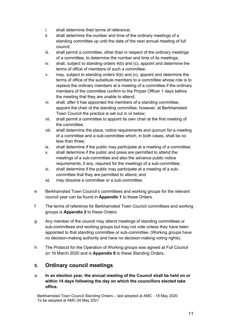- i. shall determine their terms of reference;
- ii. shall determine the number and time of the ordinary meetings of a standing committee up until the date of the next annual meeting of full council;
- iii. shall permit a committee, other than in respect of the ordinary meetings of a committee, to determine the number and time of its meetings;
- iv. shall, subject to standing orders 4(b) and (c), appoint and determine the terms of office of members of such a committee;
- v. may, subject to standing orders 4(b) and (c), appoint and determine the terms of office of the substitute members to a committee whose role is to replace the ordinary members at a meeting of a committee if the ordinary members of the committee confirm to the Proper Officer 1 days before the meeting that they are unable to attend;
- vi. shall, after it has appointed the members of a standing committee, appoint the chair of the standing committee, however, at Berkhamsted Town Council the practice is set out in vii below;
- vii. shall permit a committee to appoint its own chair at the first meeting of the committee;
- viii. shall determine the place, notice requirements and quorum for a meeting of a committee and a sub-committee which, in both cases, shall be no less than three;
- ix. shall determine if the public may participate at a meeting of a committee;
- x. shall determine if the public and press are permitted to attend the meetings of a sub-committee and also the advance public notice requirements, if any, required for the meetings of a sub-committee;
- xi. shall determine if the public may participate at a meeting of a subcommittee that they are permitted to attend; and
- xii. may dissolve a committee or a sub-committee.
- e Berkhamsted Town Council's committees and working groups for the relevant council year can be found in **Appendix 1** to these Orders.
- f The terms of reference for Berkhamsted Town Council committees and working groups is **Appendix 2** to these Orders.
- g Any member of the council may attend meetings of standing committees or sub-committees and working groups but may not vote unless they have been appointed to that standing committee or sub-committee. (Working groups have no decision-making authority and have no decision-making voting rights).
- h The Protocol for the Operation of Working groups was agreed at Full Council on 16 March 2020 and is **Appendix 6** to these Standing Orders.

# <span id="page-10-0"></span>**5. Ordinary council meetings**

a **In an election year, the annual meeting of the Council shall be held on or within 14 days following the day on which the councillors elected take office.**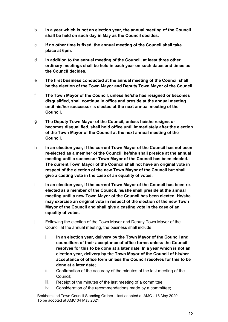- b **In a year which is not an election year, the annual meeting of the Council shall be held on such day in May as the Council decides.**
- c **If no other time is fixed, the annual meeting of the Council shall take place at 6pm.**
- d **In addition to the annual meeting of the Council, at least three other ordinary meetings shall be held in each year on such dates and times as the Council decides.**
- e **The first business conducted at the annual meeting of the Council shall be the election of the Town Mayor and Deputy Town Mayor of the Council.**
- f **The Town Mayor of the Council, unless he/she has resigned or becomes disqualified, shall continue in office and preside at the annual meeting until his/her successor is elected at the next annual meeting of the Council.**
- g **The Deputy Town Mayor of the Council, unless he/she resigns or becomes disqualified, shall hold office until immediately after the election of the Town Mayor of the Council at the next annual meeting of the Council.**
- h **In an election year, if the current Town Mayor of the Council has not been re-elected as a member of the Council, he/she shall preside at the annual meeting until a successor Town Mayor of the Council has been elected. The current Town Mayor of the Council shall not have an original vote in respect of the election of the new Town Mayor of the Council but shall give a casting vote in the case of an equality of votes.**
- i **In an election year, if the current Town Mayor of the Council has been reelected as a member of the Council, he/she shall preside at the annual meeting until a new Town Mayor of the Council has been elected. He/she may exercise an original vote in respect of the election of the new Town Mayor of the Council and shall give a casting vote in the case of an equality of votes.**
- j Following the election of the Town Mayor and Deputy Town Mayor of the Council at the annual meeting, the business shall include:
	- i. **In an election year, delivery by the Town Mayor of the Council and councillors of their acceptance of office forms unless the Council resolves for this to be done at a later date. In a year which is not an election year, delivery by the Town Mayor of the Council of his/her acceptance of office form unless the Council resolves for this to be done at a later date;**
	- ii. Confirmation of the accuracy of the minutes of the last meeting of the Council;
	- iii. Receipt of the minutes of the last meeting of a committee;
	- iv. Consideration of the recommendations made by a committee;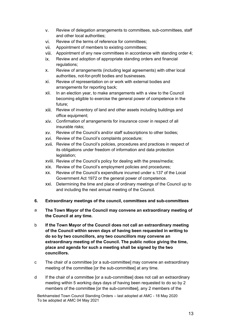- v. Review of delegation arrangements to committees, sub-committees, staff and other local authorities;
- vi. Review of the terms of reference for committees;
- vii. Appointment of members to existing committees;
- viii. Appointment of any new committees in accordance with standing order 4;
- ix. Review and adoption of appropriate standing orders and financial regulations;
- x. Review of arrangements (including legal agreements) with other local authorities, not-for-profit bodies and businesses.
- xi. Review of representation on or work with external bodies and arrangements for reporting back;
- xii. In an election year, to make arrangements with a view to the Council becoming eligible to exercise the general power of competence in the future;
- xiii. Review of inventory of land and other assets including buildings and office equipment;
- xiv. Confirmation of arrangements for insurance cover in respect of all insurable risks;
- xv. Review of the Council's and/or staff subscriptions to other bodies;
- xvi. Review of the Council's complaints procedure;
- xvii. Review of the Council's policies, procedures and practices in respect of its obligations under freedom of information and data protection legislation;
- xviii. Review of the Council's policy for dealing with the press/media;
- xix. Review of the Council's employment policies and procedures;
- xx. Review of the Council's expenditure incurred under s.137 of the Local Government Act 1972 or the general power of competence.
- xxi. Determining the time and place of ordinary meetings of the Council up to and including the next annual meeting of the Council.
- <span id="page-12-0"></span>**6. Extraordinary meetings of the council, committees and sub-committees**
- a **The Town Mayor of the Council may convene an extraordinary meeting of the Council at any time.**
- b **If the Town Mayor of the Council does not call an extraordinary meeting of the Council within seven days of having been requested in writing to do so by two councillors, any two councillors may convene an extraordinary meeting of the Council. The public notice giving the time, place and agenda for such a meeting shall be signed by the two councillors.**
- c The chair of a committee [or a sub-committee] may convene an extraordinary meeting of the committee [or the sub-committee] at any time.
- d If the chair of a committee [or a sub-committee] does not call an extraordinary meeting within 5 working days days of having been requested to do so by 2 members of the committee [or the sub-committee], any 2 members of the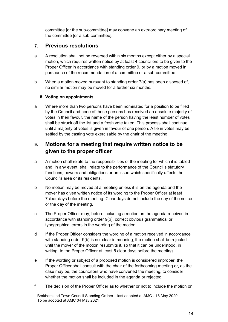committee [or the sub-committee] may convene an extraordinary meeting of the committee [or a sub-committee].

#### <span id="page-13-0"></span>**7. Previous resolutions**

- a A resolution shall not be reversed within six months except either by a special motion, which requires written notice by at least 4 councillors to be given to the Proper Officer in accordance with standing order 9, or by a motion moved in pursuance of the recommendation of a committee or a sub-committee.
- b When a motion moved pursuant to standing order 7(a) has been disposed of, no similar motion may be moved for a further six months.

#### <span id="page-13-1"></span>**8. Voting on appointments**

a Where more than two persons have been nominated for a position to be filled by the Council and none of those persons has received an absolute majority of votes in their favour, the name of the person having the least number of votes shall be struck off the list and a fresh vote taken. This process shall continue until a majority of votes is given in favour of one person. A tie in votes may be settled by the casting vote exercisable by the chair of the meeting.

# <span id="page-13-2"></span>**9. Motions for a meeting that require written notice to be given to the proper officer**

- a A motion shall relate to the responsibilities of the meeting for which it is tabled and, in any event, shall relate to the performance of the Council's statutory functions, powers and obligations or an issue which specifically affects the Council's area or its residents.
- b No motion may be moved at a meeting unless it is on the agenda and the mover has given written notice of its wording to the Proper Officer at least 7clear days before the meeting. Clear days do not include the day of the notice or the day of the meeting.
- c The Proper Officer may, before including a motion on the agenda received in accordance with standing order 9(b), correct obvious grammatical or typographical errors in the wording of the motion.
- d If the Proper Officer considers the wording of a motion received in accordance with standing order 9(b) is not clear in meaning, the motion shall be rejected until the mover of the motion resubmits it, so that it can be understood, in writing, to the Proper Officer at least 5 clear days before the meeting.
- e If the wording or subject of a proposed motion is considered improper, the Proper Officer shall consult with the chair of the forthcoming meeting or, as the case may be, the councillors who have convened the meeting, to consider whether the motion shall be included in the agenda or rejected.
- f The decision of the Proper Officer as to whether or not to include the motion on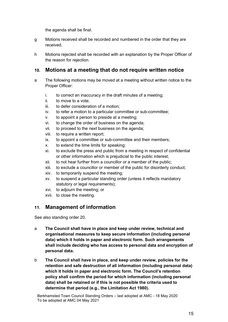the agenda shall be final.

- g Motions received shall be recorded and numbered in the order that they are received.
- h Motions rejected shall be recorded with an explanation by the Proper Officer of the reason for rejection.

# <span id="page-14-0"></span>**10. Motions at a meeting that do not require written notice**

- a The following motions may be moved at a meeting without written notice to the Proper Officer:
	- i. to correct an inaccuracy in the draft minutes of a meeting;
	- ii. to move to a vote;
	- iii. to defer consideration of a motion;
	- iv. to refer a motion to a particular committee or sub-committee;
	- v. to appoint a person to preside at a meeting;
	- vi. to change the order of business on the agenda;
	- vii. to proceed to the next business on the agenda;
	- viii. to require a written report;
	- ix. to appoint a committee or sub-committee and their members;
	- x. to extend the time limits for speaking;
	- xi. to exclude the press and public from a meeting in respect of confidential or other information which is prejudicial to the public interest;
	- xii. to not hear further from a councillor or a member of the public;
	- xiii. to exclude a councillor or member of the public for disorderly conduct;
	- xiv. to temporarily suspend the meeting;
	- xv. to suspend a particular standing order (unless it reflects mandatory statutory or legal requirements);
	- xvi. to adjourn the meeting; or
	- xvii. to close the meeting.

# <span id="page-14-1"></span>**11. Management of information**

See also standing order 20.

- a **The Council shall have in place and keep under review, technical and organisational measures to keep secure information (including personal data) which it holds in paper and electronic form. Such arrangements shall include deciding who has access to personal data and encryption of personal data.**
- b **The Council shall have in place, and keep under review, policies for the retention and safe destruction of all information (including personal data) which it holds in paper and electronic form. The Council's retention policy shall confirm the period for which information (including personal data) shall be retained or if this is not possible the criteria used to determine that period (e.g., the Limitation Act 1980).**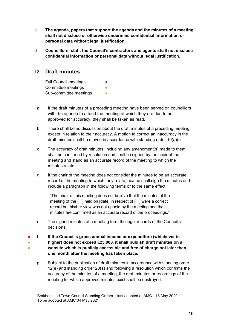- c **The agenda, papers that support the agenda and the minutes of a meeting shall not disclose or otherwise undermine confidential information or personal data without legal justification.**
- d **Councillors, staff, the Council's contractors and agents shall not disclose confidential information or personal data without legal justification.**

#### <span id="page-15-0"></span>**12. Draft minutes**

Full Council meetings Committee meetings Sub-committee meetings

- a If the draft minutes of a preceding meeting have been served on councillors with the agenda to attend the meeting at which they are due to be approved for accuracy, they shall be taken as read.
- b There shall be no discussion about the draft minutes of a preceding meeting except in relation to their accuracy. A motion to correct an inaccuracy in the draft minutes shall be moved in accordance with standing order 10(a)(i).
- c The accuracy of draft minutes, including any amendment(s) made to them, shall be confirmed by resolution and shall be signed by the chair of the meeting and stand as an accurate record of the meeting to which the minutes relate.
- d If the chair of the meeting does not consider the minutes to be an accurate record of the meeting to which they relate, he/she shall sign the minutes and include a paragraph in the following terms or to the same effect:

"The chair of this meeting does not believe that the minutes of the meeting of the ( ) held on [date] in respect of ( ) were a correct record but his/her view was not upheld by the meeting and the minutes are confirmed as an accurate record of the proceedings."

- e The signed minutes of a meeting form the legal records of the Council's decisions.
- ● ● f **If the Council's gross annual income or expenditure (whichever is higher) does not exceed £25,000, it shall publish draft minutes on a website which is publicly accessible and free of charge not later than one month after the meeting has taken place.**
	- g Subject to the publication of draft minutes in accordance with standing order 12(e) and standing order 20(a) and following a resolution which confirms the accuracy of the minutes of a meeting, the draft minutes or recordings of the meeting for which approved minutes exist shall be destroyed.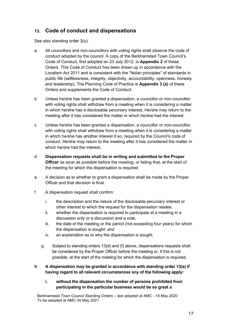# <span id="page-16-0"></span>**13. Code of conduct and dispensations**

See also standing order 3(u).

- a All councillors and non-councillors with voting rights shall observe the code of conduct adopted by the council. A copy of the Berkhamsted Town Council's Code of Conduct, first adopted on 23 July 2012, is **Appendix 2** of these Orders. This Code of Conduct has been drawn up in accordance with the Localism Act 2011 and is consistent with the "Nolan principles" of standards in public life (selflessness, integrity, objectivity, accountability, openness, honesty and leadership). The Planning Code of Practice is **Appendix 3 (a)** of these Orders and supplements the Code of Conduct.
- b Unless he/she has been granted a dispensation, a councillor or non-councillor with voting rights shall withdraw from a meeting when it is considering a matter in which he/she has a disclosable pecuniary interest. He/she may return to the meeting after it has considered the matter in which he/she had the interest.
- c Unless he/she has been granted a dispensation, a councillor or non-councillor with voting rights shall withdraw from a meeting when it is considering a matter in which he/she has another interest if so, required by the Council's code of conduct. He/she may return to the meeting after it has considered the matter in which he/she had the interest.
- d **Dispensation requests shall be in writing and submitted to the Proper Officer** as soon as possible before the meeting, or failing that, at the start of the meeting for which the dispensation is required.
- e A decision as to whether to grant a dispensation shall be made by the Proper Officer and that decision is final.
- f A dispensation request shall confirm:
	- i. the description and the nature of the disclosable pecuniary interest or other interest to which the request for the dispensation relates;
	- ii. whether the dispensation is required to participate at a meeting in a discussion only or a discussion and a vote;
	- iii. the date of the meeting or the period (not exceeding four years) for which the dispensation is sought; and
	- iv. an explanation as to why the dispensation is sought.
	- g Subject to standing orders 13(d) and (f) above, dispensations requests shall be considered by the Proper Officer before the meeting or, if this is not possible, at the start of the meeting for which the dispensation is required.

#### **h A dispensation may be granted in accordance with standing order 13(e) if having regard to all relevant circumstances any of the following apply:**

**i. without the dispensation the number of persons prohibited from participating in the particular business would be so great a**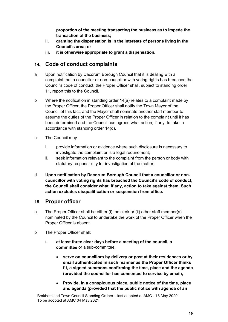**proportion of the meeting transacting the business as to impede the transaction of the business;** 

- **ii. granting the dispensation is in the interests of persons living in the Council's area; or**
- **iii. it is otherwise appropriate to grant a dispensation.**

# <span id="page-17-0"></span>**14. Code of conduct complaints**

- a Upon notification by Dacorum Borough Council that it is dealing with a complaint that a councillor or non-councillor with voting rights has breached the Council's code of conduct, the Proper Officer shall, subject to standing order 11, report this to the Council.
- b Where the notification in standing order 14(a) relates to a complaint made by the Proper Officer, the Proper Officer shall notify the Town Mayor of the Council of this fact, and the Mayor shall nominate another staff member to assume the duties of the Proper Officer in relation to the complaint until it has been determined and the Council has agreed what action, if any, to take in accordance with standing order 14(d).
- c The Council may:
	- i. provide information or evidence where such disclosure is necessary to investigate the complaint or is a legal requirement;
	- ii. seek information relevant to the complaint from the person or body with statutory responsibility for investigation of the matter;
- d **Upon notification by Dacorum Borough Council that a councillor or noncouncillor with voting rights has breached the Council's code of conduct, the Council shall consider what, if any, action to take against them. Such action excludes disqualification or suspension from office.**

#### <span id="page-17-1"></span>**15. Proper officer**

- a The Proper Officer shall be either (i) the clerk or (ii) other staff member(s) nominated by the Council to undertake the work of the Proper Officer when the Proper Officer is absent.
- b The Proper Officer shall:
	- i. **at least three clear days before a meeting of the council, a committee** or a sub-committee**,**
		- **serve on councillors by delivery or post at their residences or by email authenticated in such manner as the Proper Officer thinks fit, a signed summons confirming the time, place and the agenda (provided the councillor has consented to service by email),**
		- **Provide, in a conspicuous place, public notice of the time, place and agenda (provided that the public notice with agenda of an**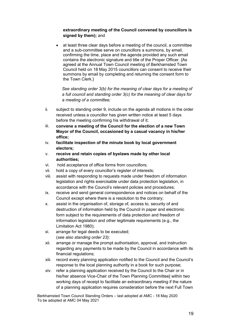#### **extraordinary meeting of the Council convened by councillors is signed by them);** and

• at least three clear days before a meeting of the council, a committee and a sub-committee serve on councillors a summons, by email, confirming the time, place and the agenda provided any such email contains the electronic signature and title of the Proper Officer. {As agreed at the Annual Town Council meeting of Berkhamsted Town Council held on 18 May 2015 councillors can consent to receive their summons by email by completing and returning the consent form to the Town Clerk.}

*See standing order 3(b) for the meaning of clear days for a meeting of a full council and standing order 3(c) for the meaning of clear days for a meeting of a committee;*

- ii. subject to standing order 9, include on the agenda all motions in the order received unless a councillor has given written notice at least 5 days before the meeting confirming his withdrawal of it;
- iii. **convene a meeting of the Council for the election of a new Town Mayor of the Council, occasioned by a casual vacancy in his/her office;**
- iv. **facilitate inspection of the minute book by local government electors;**
- v. **receive and retain copies of byelaws made by other local authorities;**
- vi. hold acceptance of office forms from councillors;
- vii. hold a copy of every councillor's register of interests;
- viii. assist with responding to requests made under freedom of information legislation and rights exercisable under data protection legislation, in accordance with the Council's relevant policies and procedures;
- ix. receive and send general correspondence and notices on behalf of the Council except where there is a resolution to the contrary;
- x. assist in the organisation of, storage of, access to, security of and destruction of information held by the Council in paper and electronic form subject to the requirements of data protection and freedom of information legislation and other legitimate requirements (e.g., the Limitation Act 1980);
- xi. arrange for legal deeds to be executed; (*see also standing order 23);*
- xii. arrange or manage the prompt authorisation, approval, and instruction regarding any payments to be made by the Council in accordance with its financial regulations;
- xiii. record every planning application notified to the Council and the Council's response to the local planning authority in a book for such purpose;
- xiv. refer a planning application received by the Council to the Chair or in his/her absence Vice-Chair of the Town Planning Committee] within two working days of receipt to facilitate an extraordinary meeting if the nature of a planning application requires consideration before the next Full Town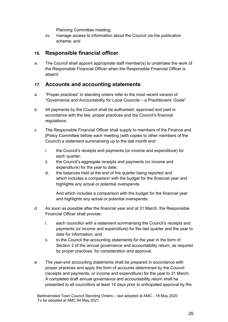Planning Committee meeting;

xv. manage access to information about the Council via the publication scheme; and

#### <span id="page-19-0"></span>**16. Responsible financial officer**

a The Council shall appoint appropriate staff member(s) to undertake the work of the Responsible Financial Officer when the Responsible Financial Officer is absent.

#### <span id="page-19-1"></span>**17. Accounts and accounting statements**

- a "Proper practices" in standing orders refer to the most recent version of "Governance and Accountability for Local Councils – a Practitioners' Guide".
- b All payments by the Council shall be authorised, approved and paid in accordance with the law, proper practices and the Council's financial regulations.
- c The Responsible Financial Officer shall supply to members of the Finance and [Policy Committee before each meeting (with copies to other members of the Council) a statement summarising up to the last month end:
	- i. the Council's receipts and payments (or income and expenditure) for each quarter;
	- ii. the Council's aggregate receipts and payments (or income and expenditure) for the year to date;
	- iii. the balances held at the end of the quarter being reported and which includes a comparison with the budget for the financial year and highlights any actual or potential overspends.

And which includes a comparison with the budget for the financial year and highlights any actual or potential overspends.

- d As soon as possible after the financial year end at 31 March, the Responsible Financial Officer shall provide:
	- i. each councillor with a statement summarising the Council's receipts and payments (or income and expenditure) for the last quarter and the year to date for information; and
	- ii. to the Council the accounting statements for the year in the form of Section 2 of the annual governance and accountability return, as required by proper practices, for consideration and approval.
- e The year-end accounting statements shall be prepared in accordance with proper practices and apply the form of accounts determined by the Council (receipts and payments, or income and expenditure) for the year to 31 March. A completed draft annual governance and accountability return shall be presented to all councillors at least 14 days prior to anticipated approval by the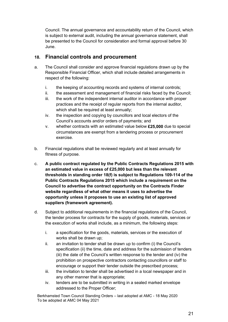Council. The annual governance and accountability return of the Council, which is subject to external audit, including the annual governance statement, shall be presented to the Council for consideration and formal approval before 30 June.

#### <span id="page-20-0"></span>**18. Financial controls and procurement**

- a. The Council shall consider and approve financial regulations drawn up by the Responsible Financial Officer, which shall include detailed arrangements in respect of the following:
	- i. the keeping of accounting records and systems of internal controls;
	- ii. the assessment and management of financial risks faced by the Council;
	- iii. the work of the independent internal auditor in accordance with proper practices and the receipt of regular reports from the internal auditor, which shall be required at least annually;
	- iv. the inspection and copying by councillors and local electors of the Council's accounts and/or orders of payments; and
	- v. whether contracts with an estimated value below **£25,000** due to special circumstances are exempt from a tendering process or procurement exercise.
- b. Financial regulations shall be reviewed regularly and at least annually for fitness of purpose.
- c. **A public contract regulated by the Public Contracts Regulations 2015 with an estimated value in excess of £25,000 but less than the relevant thresholds in standing order 18(f) is subject to Regulations 109-114 of the Public Contracts Regulations 2015 which include a requirement on the Council to advertise the contract opportunity on the Contracts Finder website regardless of what other means it uses to advertise the opportunity unless it proposes to use an existing list of approved suppliers (framework agreement).**
- d. Subject to additional requirements in the financial regulations of the Council, the tender process for contracts for the supply of goods, materials, services or the execution of works shall include, as a minimum, the following steps:
	- i. a specification for the goods, materials, services or the execution of works shall be drawn up;
	- ii. an invitation to tender shall be drawn up to confirm (i) the Council's specification (ii) the time, date and address for the submission of tenders (iii) the date of the Council's written response to the tender and (iv) the prohibition on prospective contractors contacting councillors or staff to encourage or support their tender outside the prescribed process;
	- iii. the invitation to tender shall be advertised in a local newspaper and in any other manner that is appropriate;
	- iv. tenders are to be submitted in writing in a sealed marked envelope addressed to the Proper Officer;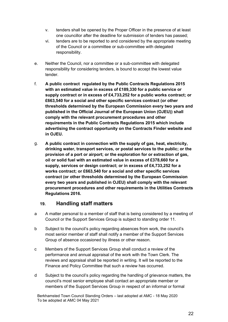- v. tenders shall be opened by the Proper Officer in the presence of at least one councillor after the deadline for submission of tenders has passed;
- vi. tenders are to be reported to and considered by the appropriate meeting of the Council or a committee or sub-committee with delegated responsibility.
- e. Neither the Council, nor a committee or a sub-committee with delegated responsibility for considering tenders, is bound to accept the lowest value tender.
- f. **A public contract regulated by the Public Contracts Regulations 2015 with an estimated value in excess of £189,330 for a public service or supply contract or in excess of £4,733,252 for a public works contract; or £663,540 for a social and other specific services contract (or other thresholds determined by the European Commission every two years and published in the Official Journal of the European Union (OJEU)) shall comply with the relevant procurement procedures and other requirements in the Public Contracts Regulations 2015 which include advertising the contract opportunity on the Contracts Finder website and in OJEU.**
- g. **A public contract in connection with the supply of gas, heat, electricity, drinking water, transport services, or postal services to the public; or the provision of a port or airport; or the exploration for or extraction of gas, oil or solid fuel with an estimated value in excess of £378,660 for a supply, services or design contract; or in excess of £4,733,252 for a works contract; or £663,540 for a social and other specific services contract (or other thresholds determined by the European Commission every two years and published in OJEU) shall comply with the relevant procurement procedures and other requirements in the Utilities Contracts Regulations 2016.**

#### <span id="page-21-0"></span>**19. Handling staff matters**

- a A matter personal to a member of staff that is being considered by a meeting of Council or the Support Services Group is subject to standing order 11.
- b Subject to the council's policy regarding absences from work, the council's most senior member of staff shall notify a member of the Support Services Group of absence occasioned by illness or other reason.
- c Members of the Support Services Group shall conduct a review of the performance and annual appraisal of the work with the Town Clerk. The reviews and appraisal shall be reported in writing. It will be reported to the Finance and Policy Committee that such a review has occurred.
- d Subject to the council's policy regarding the handling of grievance matters, the council's most senior employee shall contact an appropriate member or members of the Support Services Group in respect of an informal or formal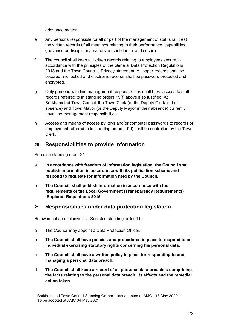grievance matter.

- e Any persons responsible for all or part of the management of staff shall treat the written records of all meetings relating to their performance, capabilities, grievance or disciplinary matters as confidential and secure.
- f The council shall keep all written records relating to employees secure in accordance with the principles of the General Data Protection Regulations 2018 and the Town Council's Privacy statement. All paper records shall be secured and locked and electronic records shall be password protected and encrypted.
- g Only persons with line management responsibilities shall have access to staff records referred to in standing orders 19(f) above if so justified. At Berkhamsted Town Council the Town Clerk (or the Deputy Clerk in their absence) and Town Mayor (or the Deputy Mayor in their absence) currently have line management responsibilities.
- h Access and means of access by keys and/or computer passwords to records of employment referred to in standing orders 19(f) shall be controlled by the Town Clerk.

#### <span id="page-22-0"></span>**20. Responsibilities to provide information**

See also standing order 21.

- a **In accordance with freedom of information legislation, the Council shall publish information in accordance with its publication scheme and respond to requests for information held by the Council.**
- b. **The Council, shall publish information in accordance with the requirements of the Local Government (Transparency Requirements) (England) Regulations 2015**.

#### <span id="page-22-1"></span>**21. Responsibilities under data protection legislation**

Below is not an exclusive list. See also standing order 11.

- a The Council may appoint a Data Protection Officer.
- b **The Council shall have policies and procedures in place to respond to an individual exercising statutory rights concerning his personal data.**
- c **The Council shall have a written policy in place for responding to and managing a personal data breach.**
- d **The Council shall keep a record of all personal data breaches comprising the facts relating to the personal data breach, its effects and the remedial action taken.**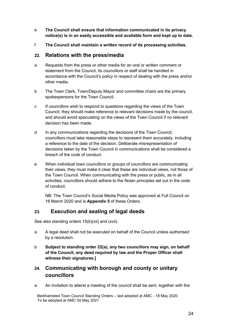- e **The Council shall ensure that information communicated in its privacy notice(s) is in an easily accessible and available form and kept up to date.**
- f **The Council shall maintain a written record of its processing activities.**

#### <span id="page-23-0"></span>**22. Relations with the press/media**

- a Requests from the press or other media for an oral or written comment or statement from the Council, its councillors or staff shall be handled in accordance with the Council's policy in respect of dealing with the press and/or other media.
- b The Town Clerk, Town/Deputy Mayor and committee chairs are the primary spokespersons for the Town Council.
- c If councillors wish to respond to questions regarding the views of the Town Council, they should make reference to relevant decisions made by the council, and should avoid speculating on the views of the Town Council if no relevant decision has been made.
- d In any communications regarding the decisions of the Town Council, councillors must take reasonable steps to represent them accurately, including a reference to the date of the decision. Deliberate misrepresentation of decisions taken by the Town Council in communications shall be considered a breach of the code of conduct.
- e When individual town councillors or groups of councillors are communicating their views, they must make it clear that these are individual views, not those of the Town Council. When communicating with the press or public, as in all activities, councillors should adhere to the Nolan principles set out in the code of conduct.

NB: The Town Council's Social Media Policy was approved at Full Council on 16 March 2020 and is **Appendix 5** of these Orders.

#### <span id="page-23-1"></span>**23. Execution and sealing of legal deeds**

See also standing orders 15(b)(xii) and (xvii).

- a A legal deed shall not be executed on behalf of the Council unless authorised by a resolution.
- b **Subject to standing order 22(a), any two councillors may sign, on behalf of the Council, any deed required by law and the Proper Officer shall witness their signatures.]**
- <span id="page-23-2"></span>**24. Communicating with borough and county or unitary councillors**
- a An invitation to attend a meeting of the council shall be sent, together with the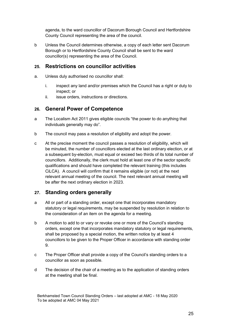agenda, to the ward councillor of Dacorum Borough Council and Hertfordshire County Council representing the area of the council.

b Unless the Council determines otherwise, a copy of each letter sent Dacorum Borough or to Hertfordshire County Council shall be sent to the ward councillor(s) representing the area of the Council.

#### <span id="page-24-0"></span>**25. Restrictions on councillor activities**

- a. Unless duly authorised no councillor shall:
	- i. inspect any land and/or premises which the Council has a right or duty to inspect; or
	- ii. issue orders, instructions or directions.

#### <span id="page-24-1"></span>**26. General Power of Competence**

- a The Localism Act 2011 gives eligible councils "the power to do anything that individuals generally may do".
- b The council may pass a resolution of eligibility and adopt the power.
- c At the precise moment the council passes a resolution of eligibility, which will be minuted, the number of councillors elected at the last ordinary election, or at a subsequent by-election, must equal or exceed two thirds of its total number of councillors. Additionally, the clerk must hold at least one of the sector specific qualifications and should have completed the relevant training (this includes CiLCA). A council will confirm that it remains eligible (or not) at the next relevant annual meeting of the council. The next relevant annual meeting will be after the next ordinary election in 2023.

# <span id="page-24-2"></span>**27. Standing orders generally**

- a All or part of a standing order, except one that incorporates mandatory statutory or legal requirements, may be suspended by resolution in relation to the consideration of an item on the agenda for a meeting.
- b A motion to add to or vary or revoke one or more of the Council's standing orders, except one that incorporates mandatory statutory or legal requirements, shall be proposed by a special motion, the written notice by at least 4 councillors to be given to the Proper Officer in accordance with standing order 9.
- c The Proper Officer shall provide a copy of the Council's standing orders to a councillor as soon as possible.
- d The decision of the chair of a meeting as to the application of standing orders at the meeting shall be final.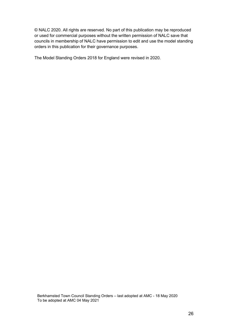© NALC 2020. All rights are reserved. No part of this publication may be reproduced or used for commercial purposes without the written permission of NALC save that councils in membership of NALC have permission to edit and use the model standing orders in this publication for their governance purposes.

The Model Standing Orders 2018 for England were revised in 2020.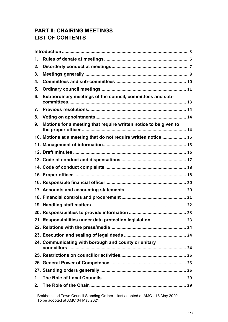# **PART II: CHAIRING MEETINGS LIST OF CONTENTS**

| 1. |                                                                  |  |
|----|------------------------------------------------------------------|--|
| 2. |                                                                  |  |
| 3. |                                                                  |  |
| 4. |                                                                  |  |
| 5. |                                                                  |  |
| 6. | Extraordinary meetings of the council, committees and sub-       |  |
| 7. |                                                                  |  |
| 8. |                                                                  |  |
| 9. | Motions for a meeting that require written notice to be given to |  |
|    | 10. Motions at a meeting that do not require written notice  15  |  |
|    |                                                                  |  |
|    |                                                                  |  |
|    |                                                                  |  |
|    |                                                                  |  |
|    |                                                                  |  |
|    |                                                                  |  |
|    |                                                                  |  |
|    |                                                                  |  |
|    |                                                                  |  |
|    |                                                                  |  |
|    | 21. Responsibilities under data protection legislation  23       |  |
|    |                                                                  |  |
|    |                                                                  |  |
|    | 24. Communicating with borough and county or unitary             |  |
|    |                                                                  |  |
|    |                                                                  |  |
|    |                                                                  |  |
| 1. |                                                                  |  |
| 2. |                                                                  |  |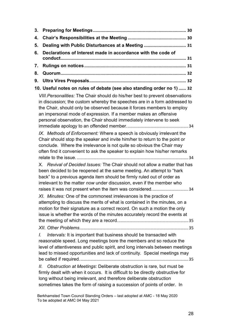| 3. |                                                                                                                                                                                                                                                                                                                                                                                  |
|----|----------------------------------------------------------------------------------------------------------------------------------------------------------------------------------------------------------------------------------------------------------------------------------------------------------------------------------------------------------------------------------|
| 4. |                                                                                                                                                                                                                                                                                                                                                                                  |
| 5. | Dealing with Public Disturbances at a Meeting  31                                                                                                                                                                                                                                                                                                                                |
| 6. | Declarations of Interest made in accordance with the code of                                                                                                                                                                                                                                                                                                                     |
|    |                                                                                                                                                                                                                                                                                                                                                                                  |
| 7. |                                                                                                                                                                                                                                                                                                                                                                                  |
| 8. |                                                                                                                                                                                                                                                                                                                                                                                  |
| 9. |                                                                                                                                                                                                                                                                                                                                                                                  |
|    | 10. Useful notes on rules of debate (see also standing order no 1)  32                                                                                                                                                                                                                                                                                                           |
|    | VIII. Personalities: The Chair should do his/her best to prevent observations<br>in discussion; the custom whereby the speeches are in a form addressed to<br>the Chair, should only be observed because it forces members to employ<br>an impersonal mode of expression. If a member makes an offensive<br>personal observation, the Chair should immediately intervene to seek |
|    | IX. Methods of Enforcement: Where a speech is obviously irrelevant the<br>Chair should stop the speaker and invite him/her to return to the point or<br>conclude. Where the irrelevance is not quite so obvious the Chair may<br>often find it convenient to ask the speaker to explain how his/her remarks                                                                      |
|    | X. Revival of Decided Issues: The Chair should not allow a matter that has<br>been decided to be reopened at the same meeting. An attempt to "hark<br>back" to a previous agenda item should be firmly ruled out of order as<br>irrelevant to the matter now under discussion, even if the member who<br>raises it was not present when the item was considered34                |
|    | XI. Minutes: One of the commonest irrelevances is the practice of<br>attempting to discuss the merits of what is contained in the minutes, on a<br>motion for their signature as a correct record. On such a motion the only<br>issue is whether the words of the minutes accurately record the events at                                                                        |
|    |                                                                                                                                                                                                                                                                                                                                                                                  |
|    | Intervals: It is important that business should be transacted with<br>$\mathcal{L}$<br>reasonable speed. Long meetings bore the members and so reduce the<br>level of attentiveness and public spirit, and long intervals between meetings<br>lead to missed opportunities and lack of continuity. Special meetings may                                                          |
|    | Obstruction at Meetings: Deliberate obstruction is rare, but must be<br>Ш.<br>firmly dealt with when it occurs. It is difficult to be directly obstructive for<br>long without being irrelevant, and therefore deliberate obstruction<br>sometimes takes the form of raising a succession of points of order. In                                                                 |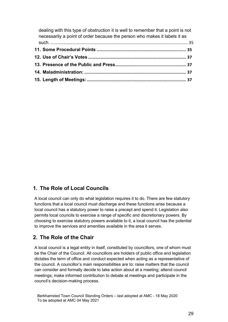| dealing with this type of obstruction it is well to remember that a point is not<br>necessarily a point of order because the person who makes it labels it as |  |
|---------------------------------------------------------------------------------------------------------------------------------------------------------------|--|
|                                                                                                                                                               |  |
|                                                                                                                                                               |  |
|                                                                                                                                                               |  |
|                                                                                                                                                               |  |
|                                                                                                                                                               |  |
|                                                                                                                                                               |  |

# <span id="page-28-0"></span>**1. The Role of Local Councils**

A local council can only do what legislation requires it to do. There are few statutory functions that a local council must discharge and these functions arise because a local council has a statutory power to raise a precept and spend it. Legislation also permits local councils to exercise a range of specific and discretionary powers. By choosing to exercise statutory powers available to it, a local council has the potential to improve the services and amenities available in the area it serves.

#### <span id="page-28-1"></span>**2. The Role of the Chair**

A local council is a legal entity in itself, constituted by councillors, one of whom must be the Chair of the Council. All councillors are holders of public office and legislation dictates the term of office and conduct expected when acting as a representative of the council. A councillor's main responsibilities are to: raise matters that the council can consider and formally decide to take action about at a meeting; attend council meetings; make informed contribution to debate at meetings and participate in the council's decision-making process.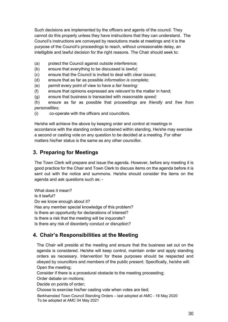Such decisions are implemented by the officers and agents of the council. They cannot do this properly unless they have instructions that they can understand. The Council's instructions are conveyed by resolutions made at meetings and it is the purpose of the Council's proceedings to reach, without unreasonable delay, an intelligible and lawful decision for the right reasons*.* The Chair should seek to:

- (a) protect the Council against *outside interference;*
- (b) ensure that everything to be discussed is *lawful;*
- (c) ensure that the Council is invited to deal with *clear issues;*
- (d) ensure that as far as possible *information is complete;*
- (e) permit every point of view to have a *fair hearing;*
- (f) ensure that opinions expressed are *relevant* to the matter in hand;
- (g) ensure that business is transacted with *reasonable speed;*

(h) ensure as far as possible that proceedings are *friendly* and *free from personalities;*

(i) co-operate with the officers and councillors.

He/she will achieve the above by keeping order and control at meetings in accordance with the standing orders contained within standing. He/she may exercise a second or casting vote on any question to be decided at a meeting. For other matters his/her status is the same as any other councillor.

# <span id="page-29-0"></span>**3. Preparing for Meetings**

The Town Clerk will prepare and issue the agenda. However, before any meeting it is good practice for the Chair and Town Clerk to discuss items on the agenda before it is sent out with the notice and summons. He/she should consider the items on the agenda and ask questions such as: -

What does it mean? Is it lawful? Do we know enough about it? Has any member special knowledge of this problem? Is there an opportunity for declarations of interest? Is there a risk that the meeting will be inquorate? Is there any risk of disorderly conduct or disruption?

# <span id="page-29-1"></span>**4. Chair's Responsibilities at the Meeting**

The Chair will preside at the meeting and ensure that the business set out on the agenda is considered. He/she will keep control, maintain order and apply standing orders as necessary. Intervention for these purposes should be respected and obeyed by councillors and members of the public present. Specifically, he/she will: Open the meeting;

Consider if there is a procedural obstacle to the meeting proceeding;

Order debate on motions;

Decide on points of order;

Choose to exercise his/her casting vote when votes are tied;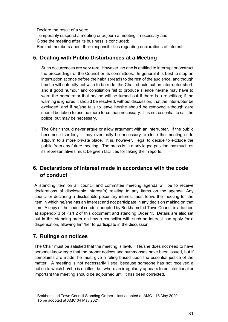Declare the result of a vote; Temporarily suspend a meeting or adjourn a meeting if necessary and Close the meeting after its business is concluded; Remind members about their responsibilities regarding declarations of interest.

# <span id="page-30-0"></span>**5. Dealing with Public Disturbances at a Meeting**

- i. Such occurrences are very rare. However, no one is entitled to interrupt or obstruct the proceedings of the Council or its committees. In general it is best to stop an interruption at once before the habit spreads to the rest of the audience; and though he/she will naturally not wish to be rude, the Chair should cut an interrupter short, and if good humour and conciliation fail to produce silence he/she may have to warn the perpetrator that he/she will be turned out if there is a repetition; if the warning is ignored it should be resolved, without discussion, that the interrupter be excluded, and if he/she fails to leave he/she should be removed although care should be taken to use no more force than necessary. It is not essential to call the police, but may be necessary.
- ii. The Chair should never argue or allow argument with an interrupter. If the public becomes disorderly it may eventually be necessary to close the meeting or to adjourn to a more private place. It is, however, illegal to decide to exclude the public from any future meeting. The press is in a privileged position inasmuch as its representatives must be given facilities for taking their reports.

# <span id="page-30-1"></span>**6. Declarations of Interest made in accordance with the code of conduct**

A standing item on all council and committee meeting agenda will be to receive declarations of disclosable interest(s) relating to any items on the agenda. Any councillor declaring a disclosable pecuniary interest must leave the meeting for the item in which he/she has an interest and not participate in any decision making on that item. A copy of the code of conduct adopted by Berkhamsted Town Council is attached at appendix 3 of Part 2 of this document and standing Order 13. Details are also set out in this standing order on how a councillor with such an interest can apply for a dispensation, allowing him/her to participate in the discussion.

# <span id="page-30-2"></span>**7. Rulings on notices**

The Chair must be satisfied that the meeting is lawful. He/she does not need to have personal knowledge that the proper notices and summonses have been issued, but if complaints are made, he must give a ruling based upon the essential justice of the matter. A meeting is not necessarily illegal because someone has not received a notice to which he/she is entitled, but where an irregularity appears to be intentional or important the meeting should be adjourned until it has been corrected.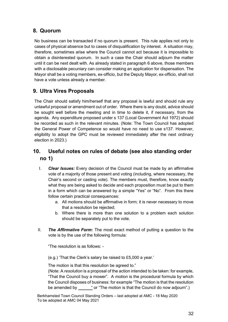# <span id="page-31-0"></span>**8. Quorum**

No business can be transacted if no quorum is present. This rule applies not only to cases of physical absence but to cases of disqualification by interest. A situation may, therefore, sometimes arise where the Council cannot act because it is impossible to obtain a disinterested quorum. In such a case the Chair should adjourn the matter until it can be next dealt with. As already stated in paragraph 6 above, those members with a disclosable pecuniary can consider making an application for dispensation. The Mayor shall be a voting members, ex-officio, but the Deputy Mayor, ex-officio, shall not have a vote unless already a member.

# <span id="page-31-1"></span>**9. Ultra Vires Proposals**

The Chair should satisfy him/herself that any proposal is lawful and should rule any unlawful proposal or amendment out of order. Where there is any doubt, advice should be sought well before the meeting and in time to delete it, if necessary, from the agenda. Any expenditure proposed under s 137 (Local Government Act 1972) should be recorded as such in the relevant minutes. (Note: The Town Council has adopted the General Power of Competence so would have no need to use s137. However, eligibility to adopt the GPC must be reviewed immediately after the next ordinary election in 2023.)

# <span id="page-31-2"></span>**10. Useful notes on rules of debate (see also standing order no 1)**

- I. *Clear Issues:* Every decision of the Council must be made by an affirmative vote of a majority of those present and voting (including, where necessary, the Chair's second or casting vote). The members must, therefore, know exactly what they are being asked to decide and each proposition must be put to them in a form which can be answered by a simple "Yes" or "No". From this there follow certain practical consequences:
	- a. All motions should be affirmative in form; it is never necessary to move that a resolution be rejected;
	- b. Where there is more than one solution to a problem each solution should be separately put to the vote.
- II. *The Affirmative Form***:** The most exact method of putting a question to the vote is by the use of the following formula:

"The resolution is as follows: -

(e.g.) 'That the Clerk's salary be raised to £5,000 a year.'

The motion is that this resolution be agreed to."

(Note: A *resolution* is a proposal of the action intended to be taken: for example, "That the Council buy a mower". A *motion* is the procedural formula by which the Council disposes of business: for example "The motion is that the resolution be amended by " or "The motion is that the Council do now adjourn".)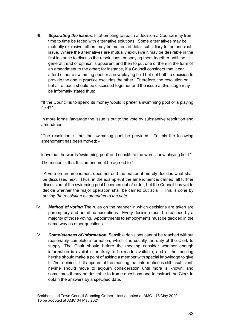III. *Separating the issues*: In attempting to reach a decision a Council may from time to time be faced with alternative solutions. Some alternatives may be mutually exclusive; others may be matters of detail subsidiary to the principal issue. Where the alternatives are mutually exclusive it may be desirable in the first instance to discuss the resolutions embodying them together until the general trend of opinion is apparent and then to put one of them in the form of an amendment to the other; for instance, if a Council considers that it can afford either a swimming pool or a new playing field but not both, a decision to provide the one in practice excludes the other. Therefore, the resolution on behalf of each should be discussed together and the issue at this stage may be informally stated thus:

"If the Council is to spend its money would it prefer a swimming pool or a playing field?"

In more formal language the issue is put to the vote by substantive resolution and amendment: -

"The resolution is that the swimming pool be provided. To this the following amendment has been moved: -

leave out the words 'swimming pool' and substitute the words 'new playing field.'

The motion is that this amendment be agreed to."

A vote on an amendment does not end the matter: it merely decides what shall be discussed next. Thus, in the example, if the amendment is carried, all further discussion of the swimming pool becomes out of order, but the Council has yet to decide whether the major operation shall be carried out at all. This is done by putting *the resolution as amended to the vote.* 

- IV. *Method of voting* The rules on the manner in which decisions are taken are peremptory and admit no exceptions. Every decision must be reached by a majority of those voting. Appointments to employments must be decided in the same way as other questions.
- V. *Completeness of Information.* Sensible decisions cannot be reached without reasonably complete information, which it is usually the duty of the Clerk to supply. The Chair should before the meeting consider whether enough information is available or likely to be made available, and at the meeting he/she should make a point of asking a member with special knowledge to give his/her opinion. If it appears at the meeting that information is still insufficient, he/she should move to adjourn consideration until more is known, and sometimes it may be desirable to frame questions and to instruct the Clerk to obtain the answers by a specified date.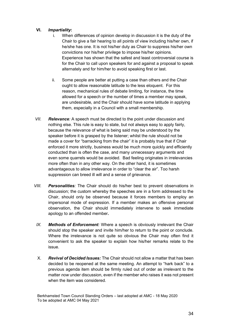#### **VI.** *Impartiality***:**

- i. When differences of opinion develop in discussion it is the duty of the Chair to give a fair hearing to all points of view including his/her own, if he/she has one. It is not his/her duty as Chair to suppress his/her own convictions nor his/her privilege to impose his/her opinions. Experience has shown that the safest and least controversial course is for the Chair to call upon speakers for and against a proposal to speak alternately and for him/her to avoid speaking first or last.
- ii. Some people are better at putting a case than others and the Chair ought to allow reasonable latitude to the less eloquent. For this reason, mechanical rules of debate limiting, for instance, the time allowed for a speech or the number of times a member may speak, are undesirable, and the Chair should have some latitude in applying them, especially in a Council with a small membership.
- *VII. Relevance:* A speech must be directed to the point under discussion and nothing else. This rule is easy to state, but not always easy to apply fairly, because the relevance of what is being said may be understood by the speaker before it is grasped by the listener; whilst the rule should not be made a cover for "barracking from the chair" it is probably true that if Chair enforced it more strictly, business would be much more quickly and efficiently conducted than is often the case, and many unnecessary arguments and even some quarrels would be avoided. Bad feeling originates in irrelevancies more often than in any other way. On the other hand, it is sometimes advantageous to allow irrelevance in order to "clear the air". Too harsh suppression can breed ill will and a sense of grievance.
- <span id="page-33-0"></span>*VIII. Personalities:* The Chair should do his/her best to prevent observations in discussion; the custom whereby the speeches are in a form addressed to the Chair, should only be observed because it forces members to employ an impersonal mode of expression. If a member makes an offensive personal observation, the Chair should immediately intervene to seek immediate apology to an offended member**.**
- <span id="page-33-1"></span>*IX. Methods of Enforcement:* Where a speech is obviously irrelevant the Chair should stop the speaker and invite him/her to return to the point or conclude. Where the irrelevance is not quite so obvious the Chair may often find it convenient to ask the speaker to explain how his/her remarks relate to the issue.
- <span id="page-33-2"></span>X. *Revival of Decided Issues:* The Chair should not allow a matter that has been decided to be reopened at the same meeting. An attempt to "hark back" to a previous agenda item should be firmly ruled out of order as irrelevant to the matter *now* under discussion, even if the member who raises it was not present when the item was considered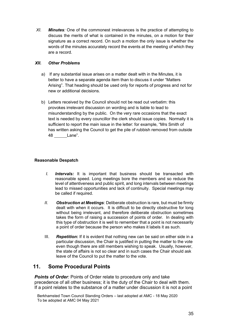<span id="page-34-0"></span>*XI. Minutes:* One of the commonest irrelevances is the practice of attempting to discuss the merits of what is contained in the minutes, on a motion for their signature as a correct record. On such a motion the only issue is whether the words of the minutes accurately record the events at the meeting of which they are a record.

#### <span id="page-34-1"></span>*XII. Other Problems*

- a) If any substantial issue arises on a matter dealt with in the Minutes, it is better to have a separate agenda item than to discuss it under "Matters Arising". That heading should be used only for reports of progress and not for new or additional decisions.
- b) Letters received by the Council should not be read out verbatim: this provokes irrelevant discussion on wording and is liable to lead to misunderstanding by the public. On the very rare occasions that the exact text is needed by every councillor the clerk should issue copies. Normally it is sufficient to report the main issue in the letter: for example, "Mrs Smith of has written asking the Council to get the pile of rubbish removed from outside 48 Lane".

#### **Reasonable Despatch**

- <span id="page-34-2"></span>*I. Intervals:* It is important that business should be transacted with reasonable speed. Long meetings bore the members and so reduce the level of attentiveness and public spirit, and long intervals between meetings lead to missed opportunities and lack of continuity. Special meetings may be called if required.
- <span id="page-34-3"></span>*II. Obstruction at Meetings*: Deliberate obstruction is rare, but must be firmly dealt with when it occurs. It is difficult to be directly obstructive for long without being irrelevant, and therefore deliberate obstruction sometimes takes the form of raising a succession of points of order. In dealing with this type of obstruction it is well to remember that a point is not necessarily a point of order because the person who makes it labels it as such.
- III. *Repetition***:** If it is evident that nothing new can be said on either side in a particular discussion, the Chair is justified in putting the matter to the vote even though there are still members wishing to speak. Usually, however, the state of affairs is not so clear and in such cases the Chair should ask leave of the Council to put the matter to the vote.

# <span id="page-34-4"></span>**11. Some Procedural Points**

**Points of Order**: Points of Order relate to procedure only and take precedence of all other business; it is the duty of the Chair to deal with them. If a point relates to the substance of a matter under discussion it is not a point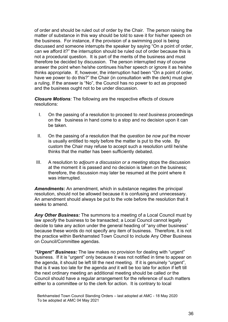of order and should be ruled out of order by the Chair. The person raising the matter of substance in this way should be told to save it for his/her speech on the business. For instance, if the provision of a swimming pool is being discussed and someone interrupts the speaker by saying "On a point of order, can we afford it?" the interruption should be ruled out of order because this is not a procedural question. It is part of the merits of the business and must therefore be decided by discussion. The person interrupted may of course answer the point when he/she continues his/her speech or ignore it as he/she thinks appropriate. If, however, the interruption had been "On a point of order, have we power to do this?" the Chair (in consultation with the clerk) must give a ruling. If the answer is "No", the Council has no power to act as proposed and the business ought not to be under discussion.

*Closure Motions:* The following are the respective effects of closure resolutions:

- I. On the passing of a resolution to proceed to *next business* proceedings on the business in hand come to a stop and no decision upon it can be taken.
- II. On the passing of a resolution that the *question be now put* the mover is usually entitled to reply before the matter is put to the vote. By custom the Chair may refuse to accept such a resolution until he/she thinks that the matter has been sufficiently debated.
- III. A resolution to *adjourn a discussion or a meeting* stops the discussion at the moment it is passed and no decision is taken on the business; therefore, the discussion may later be resumed at the point where it was interrupted.

*Amendments***:** An amendment, which in substance negates the principal resolution, should not be allowed because it is confusing and unnecessary. An amendment should always be put to the vote before the resolution that it seeks to amend.

*Any Other Business:* The summons to a meeting of a Local Council must by law *specify* the business to be transacted; a Local Council cannot legally decide to take any action under the general heading of "any other business" because these words do not specify any item of business. Therefore, it is not the practice within Berkhamsted Town Council to include Any Other Business on Council/Committee agendas.

*"Urgent" Business:* The law makes no provision for dealing with "urgent" business. If it is "urgent" only because it was not notified in time to appear on the agenda, it should be left till the next meeting. If it is genuinely "urgent", that is it was too late for the agenda *and* it will be too late for action if left till the next ordinary meeting an additional meeting should be called *or* the Council should have a regular arrangement for the reference of such matters either to a committee or to the clerk for action. It is contrary to local